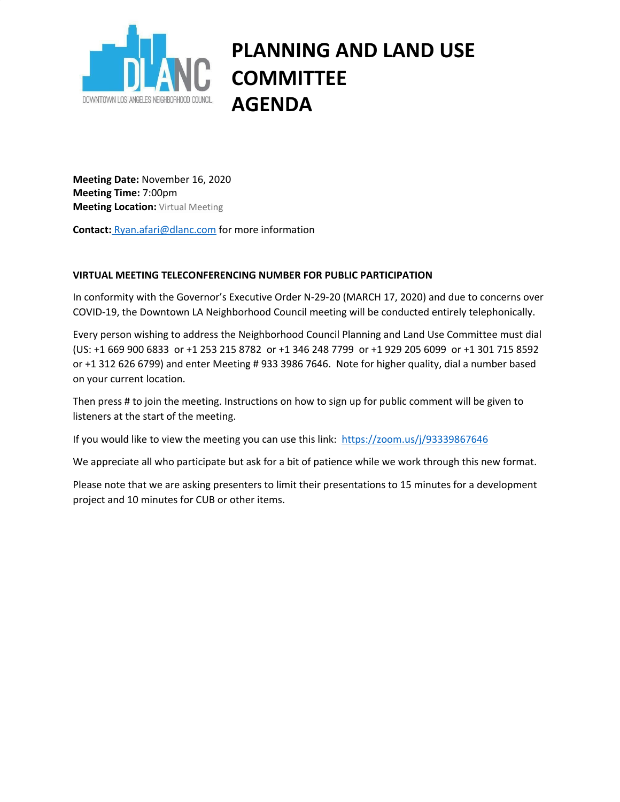

## **PLANNING AND LAND USE COMMITTEE AGENDA**

**Meeting Date:** November 16, 2020 **Meeting Time:** 7:00pm **Meeting Location:** Virtual Meeting

**Contact:** [Ryan.afari@dlanc.com](mailto:ryan.afari@dlanc.com) for more information

## **VIRTUAL MEETING TELECONFERENCING NUMBER FOR PUBLIC PARTICIPATION**

In conformity with the Governor's Executive Order N-29-20 (MARCH 17, 2020) and due to concerns over COVID-19, the Downtown LA Neighborhood Council meeting will be conducted entirely telephonically.

Every person wishing to address the Neighborhood Council Planning and Land Use Committee must dial (US: +1 669 900 6833 or +1 253 215 8782 or +1 346 248 7799 or +1 929 205 6099 or +1 301 715 8592 or +1 312 626 6799) and enter Meeting # 933 3986 7646. Note for higher quality, dial a number based on your current location.

Then press # to join the meeting. Instructions on how to sign up for public comment will be given to listeners at the start of the meeting.

If you would like to view the meeting you can use this link: <https://zoom.us/j/93339867646>

We appreciate all who participate but ask for a bit of patience while we work through this new format.

Please note that we are asking presenters to limit their presentations to 15 minutes for a development project and 10 minutes for CUB or other items.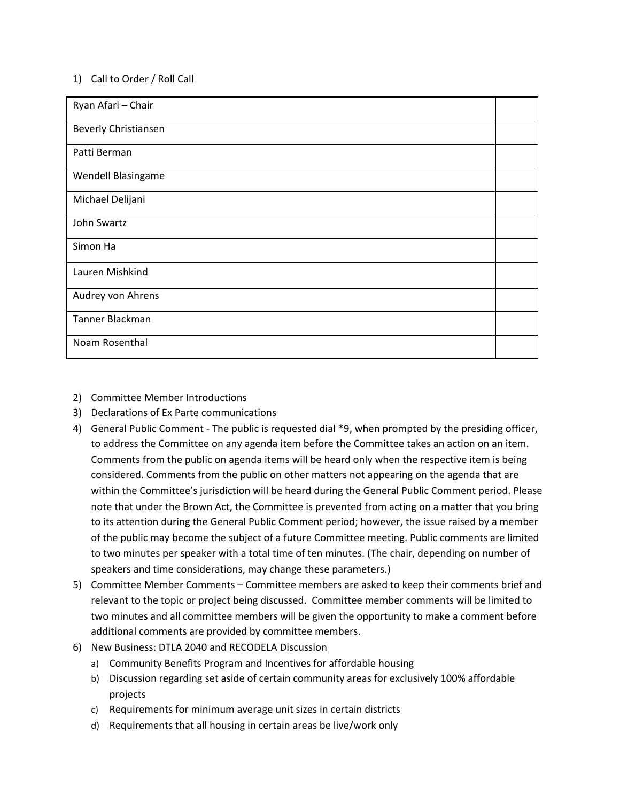## 1) Call to Order / Roll Call

| Ryan Afari - Chair   |  |
|----------------------|--|
| Beverly Christiansen |  |
| Patti Berman         |  |
| Wendell Blasingame   |  |
| Michael Delijani     |  |
| John Swartz          |  |
| Simon Ha             |  |
| Lauren Mishkind      |  |
| Audrey von Ahrens    |  |
| Tanner Blackman      |  |
| Noam Rosenthal       |  |

- 2) Committee Member Introductions
- 3) Declarations of Ex Parte communications
- 4) General Public Comment The public is requested dial \*9, when prompted by the presiding officer, to address the Committee on any agenda item before the Committee takes an action on an item. Comments from the public on agenda items will be heard only when the respective item is being considered. Comments from the public on other matters not appearing on the agenda that are within the Committee's jurisdiction will be heard during the General Public Comment period. Please note that under the Brown Act, the Committee is prevented from acting on a matter that you bring to its attention during the General Public Comment period; however, the issue raised by a member of the public may become the subject of a future Committee meeting. Public comments are limited to two minutes per speaker with a total time of ten minutes. (The chair, depending on number of speakers and time considerations, may change these parameters.)
- 5) Committee Member Comments Committee members are asked to keep their comments brief and relevant to the topic or project being discussed. Committee member comments will be limited to two minutes and all committee members will be given the opportunity to make a comment before additional comments are provided by committee members.
- 6) New Business: DTLA 2040 and RECODELA Discussion
	- a) Community Benefits Program and Incentives for affordable housing
	- b) Discussion regarding set aside of certain community areas for exclusively 100% affordable projects
	- c) Requirements for minimum average unit sizes in certain districts
	- d) Requirements that all housing in certain areas be live/work only